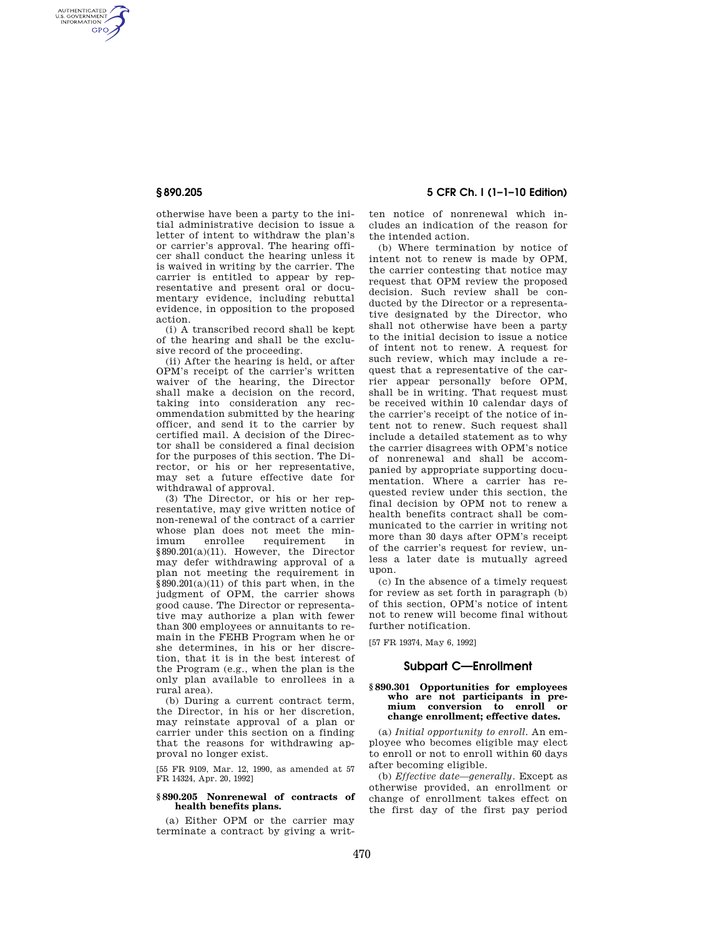AUTHENTICATED<br>U.S. GOVERNMENT<br>INFORMATION **GPO** 

> otherwise have been a party to the initial administrative decision to issue a letter of intent to withdraw the plan's or carrier's approval. The hearing officer shall conduct the hearing unless it is waived in writing by the carrier. The carrier is entitled to appear by representative and present oral or documentary evidence, including rebuttal evidence, in opposition to the proposed action.

> (i) A transcribed record shall be kept of the hearing and shall be the exclusive record of the proceeding.

> (ii) After the hearing is held, or after OPM's receipt of the carrier's written waiver of the hearing, the Director shall make a decision on the record, taking into consideration any recommendation submitted by the hearing officer, and send it to the carrier by certified mail. A decision of the Director shall be considered a final decision for the purposes of this section. The Director, or his or her representative, may set a future effective date for withdrawal of approval.

> (3) The Director, or his or her representative, may give written notice of non-renewal of the contract of a carrier whose plan does not meet the minimum enrollee requirement in §890.201(a)(11). However, the Director may defer withdrawing approval of a plan not meeting the requirement in  $§890.201(a)(11)$  of this part when, in the judgment of OPM, the carrier shows good cause. The Director or representative may authorize a plan with fewer than 300 employees or annuitants to remain in the FEHB Program when he or she determines, in his or her discretion, that it is in the best interest of the Program (e.g., when the plan is the only plan available to enrollees in a rural area).

(b) During a current contract term, the Director, in his or her discretion, may reinstate approval of a plan or carrier under this section on a finding that the reasons for withdrawing approval no longer exist.

[55 FR 9109, Mar. 12, 1990, as amended at 57 FR 14324, Apr. 20, 1992]

### **§ 890.205 Nonrenewal of contracts of health benefits plans.**

(a) Either OPM or the carrier may terminate a contract by giving a writ-

**§ 890.205 5 CFR Ch. I (1–1–10 Edition)** 

ten notice of nonrenewal which includes an indication of the reason for the intended action.

(b) Where termination by notice of intent not to renew is made by OPM, the carrier contesting that notice may request that OPM review the proposed decision. Such review shall be conducted by the Director or a representative designated by the Director, who shall not otherwise have been a party to the initial decision to issue a notice of intent not to renew. A request for such review, which may include a request that a representative of the carrier appear personally before OPM, shall be in writing. That request must be received within 10 calendar days of the carrier's receipt of the notice of intent not to renew. Such request shall include a detailed statement as to why the carrier disagrees with OPM's notice of nonrenewal and shall be accompanied by appropriate supporting documentation. Where a carrier has requested review under this section, the final decision by OPM not to renew a health benefits contract shall be communicated to the carrier in writing not more than 30 days after OPM's receipt of the carrier's request for review, unless a later date is mutually agreed upon.

(c) In the absence of a timely request for review as set forth in paragraph (b) of this section, OPM's notice of intent not to renew will become final without further notification.

[57 FR 19374, May 6, 1992]

## **Subpart C—Enrollment**

#### **§ 890.301 Opportunities for employees who are not participants in premium conversion to enroll or change enrollment; effective dates.**

(a) *Initial opportunity to enroll.* An employee who becomes eligible may elect to enroll or not to enroll within 60 days after becoming eligible.

(b) *Effective date—generally.* Except as otherwise provided, an enrollment or change of enrollment takes effect on the first day of the first pay period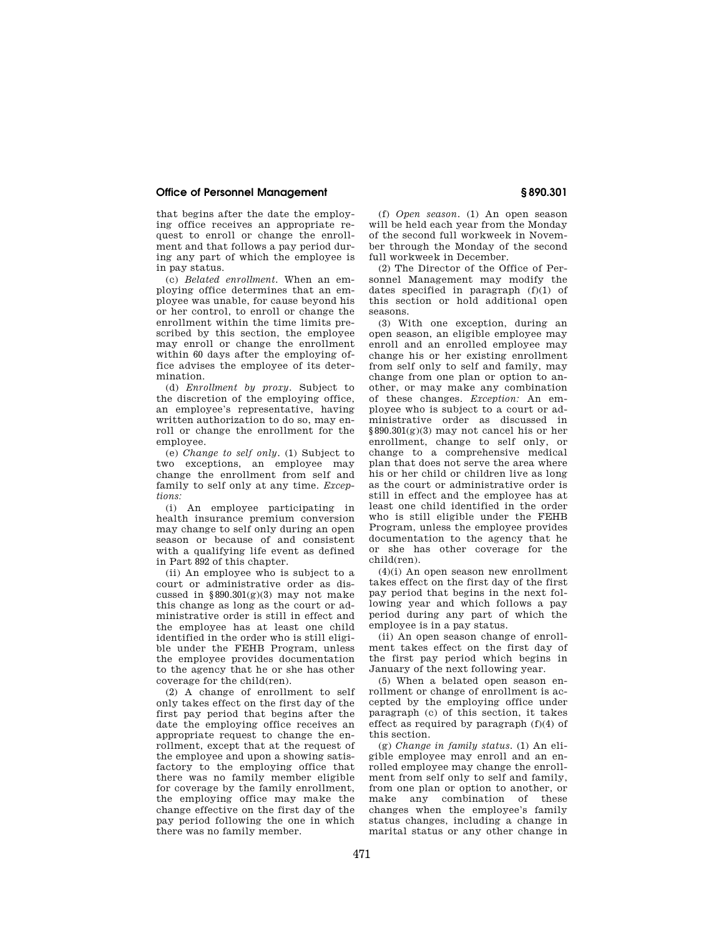### **Office of Personnel Management § 890.301**

that begins after the date the employing office receives an appropriate request to enroll or change the enrollment and that follows a pay period during any part of which the employee is in pay status.

(c) *Belated enrollment.* When an employing office determines that an employee was unable, for cause beyond his or her control, to enroll or change the enrollment within the time limits prescribed by this section, the employee may enroll or change the enrollment within 60 days after the employing office advises the employee of its determination.

(d) *Enrollment by proxy.* Subject to the discretion of the employing office, an employee's representative, having written authorization to do so, may enroll or change the enrollment for the employee.

(e) *Change to self only.* (1) Subject to two exceptions, an employee may change the enrollment from self and family to self only at any time. *Exceptions:* 

(i) An employee participating in health insurance premium conversion may change to self only during an open season or because of and consistent with a qualifying life event as defined in Part 892 of this chapter.

(ii) An employee who is subject to a court or administrative order as discussed in  $§890.301(g)(3)$  may not make this change as long as the court or administrative order is still in effect and the employee has at least one child identified in the order who is still eligible under the FEHB Program, unless the employee provides documentation to the agency that he or she has other coverage for the child(ren).

(2) A change of enrollment to self only takes effect on the first day of the first pay period that begins after the date the employing office receives an appropriate request to change the enrollment, except that at the request of the employee and upon a showing satisfactory to the employing office that there was no family member eligible for coverage by the family enrollment, the employing office may make the change effective on the first day of the pay period following the one in which there was no family member.

(f) *Open season.* (1) An open season will be held each year from the Monday of the second full workweek in November through the Monday of the second full workweek in December.

(2) The Director of the Office of Personnel Management may modify the dates specified in paragraph (f)(1) of this section or hold additional open seasons.

(3) With one exception, during an open season, an eligible employee may enroll and an enrolled employee may change his or her existing enrollment from self only to self and family, may change from one plan or option to another, or may make any combination of these changes. *Exception:* An employee who is subject to a court or administrative order as discussed in §890.301(g)(3) may not cancel his or her enrollment, change to self only, or change to a comprehensive medical plan that does not serve the area where his or her child or children live as long as the court or administrative order is still in effect and the employee has at least one child identified in the order who is still eligible under the FEHB Program, unless the employee provides documentation to the agency that he or she has other coverage for the child(ren).

(4)(i) An open season new enrollment takes effect on the first day of the first pay period that begins in the next following year and which follows a pay period during any part of which the employee is in a pay status.

(ii) An open season change of enrollment takes effect on the first day of the first pay period which begins in January of the next following year.

(5) When a belated open season enrollment or change of enrollment is accepted by the employing office under paragraph (c) of this section, it takes effect as required by paragraph (f)(4) of this section.

(g) *Change in family status.* (1) An eligible employee may enroll and an enrolled employee may change the enrollment from self only to self and family, from one plan or option to another, or make any combination of these changes when the employee's family status changes, including a change in marital status or any other change in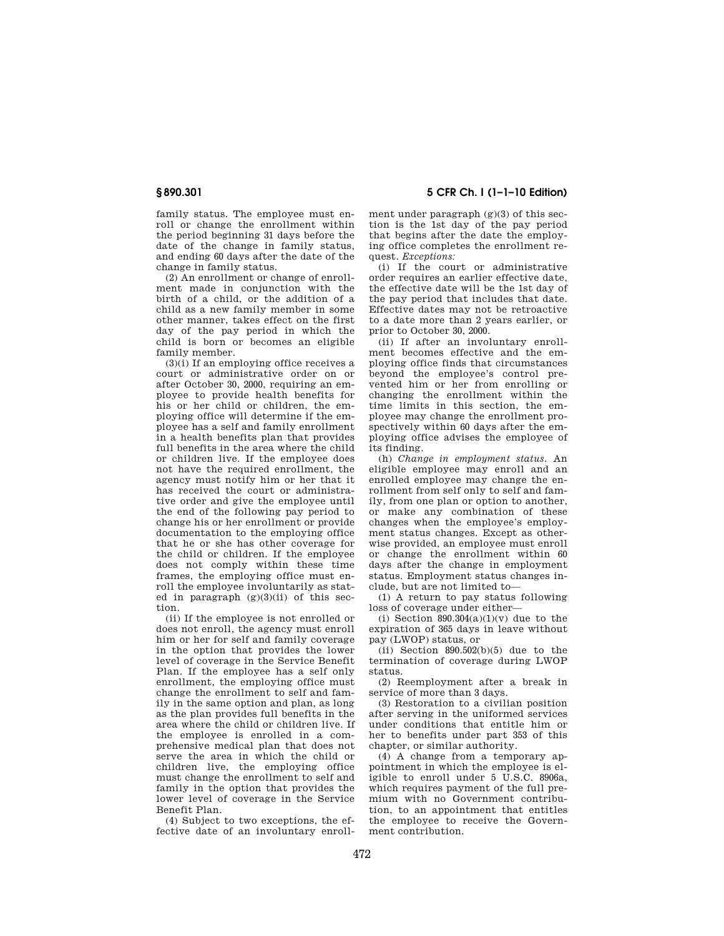family status. The employee must enroll or change the enrollment within the period beginning 31 days before the date of the change in family status, and ending 60 days after the date of the change in family status.

(2) An enrollment or change of enrollment made in conjunction with the birth of a child, or the addition of a child as a new family member in some other manner, takes effect on the first day of the pay period in which the child is born or becomes an eligible family member.

 $(3)(i)$  If an employing office receives a court or administrative order on or after October 30, 2000, requiring an employee to provide health benefits for his or her child or children, the employing office will determine if the employee has a self and family enrollment in a health benefits plan that provides full benefits in the area where the child or children live. If the employee does not have the required enrollment, the agency must notify him or her that it has received the court or administrative order and give the employee until the end of the following pay period to change his or her enrollment or provide documentation to the employing office that he or she has other coverage for the child or children. If the employee does not comply within these time frames, the employing office must enroll the employee involuntarily as stated in paragraph  $(g)(3)(ii)$  of this section.

(ii) If the employee is not enrolled or does not enroll, the agency must enroll him or her for self and family coverage in the option that provides the lower level of coverage in the Service Benefit Plan. If the employee has a self only enrollment, the employing office must change the enrollment to self and family in the same option and plan, as long as the plan provides full benefits in the area where the child or children live. If the employee is enrolled in a comprehensive medical plan that does not serve the area in which the child or children live, the employing office must change the enrollment to self and family in the option that provides the lower level of coverage in the Service Benefit Plan.

(4) Subject to two exceptions, the effective date of an involuntary enroll-

**§ 890.301 5 CFR Ch. I (1–1–10 Edition)** 

ment under paragraph  $(g)(3)$  of this section is the 1st day of the pay period that begins after the date the employing office completes the enrollment request. *Exceptions:* 

(i) If the court or administrative order requires an earlier effective date, the effective date will be the 1st day of the pay period that includes that date. Effective dates may not be retroactive to a date more than 2 years earlier, or prior to October 30, 2000.

(ii) If after an involuntary enrollment becomes effective and the employing office finds that circumstances beyond the employee's control prevented him or her from enrolling or changing the enrollment within the time limits in this section, the employee may change the enrollment prospectively within 60 days after the employing office advises the employee of its finding.

(h) *Change in employment status.* An eligible employee may enroll and an enrolled employee may change the enrollment from self only to self and family, from one plan or option to another, or make any combination of these changes when the employee's employment status changes. Except as otherwise provided, an employee must enroll or change the enrollment within 60 days after the change in employment status. Employment status changes include, but are not limited to—

(1) A return to pay status following loss of coverage under either—

(i) Section  $890.304(a)(1)(v)$  due to the expiration of 365 days in leave without pay (LWOP) status, or

(ii) Section  $890.502(b)(5)$  due to the termination of coverage during LWOP status.

(2) Reemployment after a break in service of more than 3 days.

(3) Restoration to a civilian position after serving in the uniformed services under conditions that entitle him or her to benefits under part 353 of this chapter, or similar authority.

(4) A change from a temporary appointment in which the employee is eligible to enroll under 5 U.S.C. 8906a, which requires payment of the full premium with no Government contribution, to an appointment that entitles the employee to receive the Government contribution.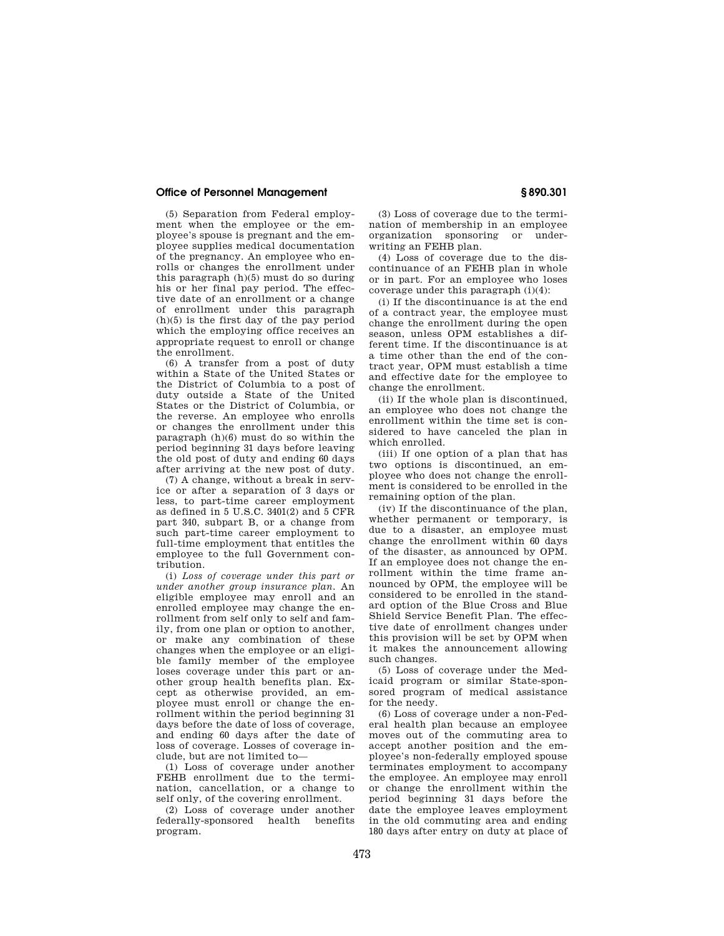### **Office of Personnel Management § 890.301**

(5) Separation from Federal employment when the employee or the employee's spouse is pregnant and the employee supplies medical documentation of the pregnancy. An employee who enrolls or changes the enrollment under this paragraph (h)(5) must do so during his or her final pay period. The effective date of an enrollment or a change of enrollment under this paragraph  $(h)(5)$  is the first day of the pay period which the employing office receives an appropriate request to enroll or change the enrollment.

(6) A transfer from a post of duty within a State of the United States or the District of Columbia to a post of duty outside a State of the United States or the District of Columbia, or the reverse. An employee who enrolls or changes the enrollment under this paragraph (h)(6) must do so within the period beginning 31 days before leaving the old post of duty and ending 60 days after arriving at the new post of duty.

(7) A change, without a break in service or after a separation of 3 days or less, to part-time career employment as defined in 5 U.S.C. 3401(2) and 5 CFR part 340, subpart B, or a change from such part-time career employment to full-time employment that entitles the employee to the full Government contribution.

(i) *Loss of coverage under this part or under another group insurance plan.* An eligible employee may enroll and an enrolled employee may change the enrollment from self only to self and family, from one plan or option to another, or make any combination of these changes when the employee or an eligible family member of the employee loses coverage under this part or another group health benefits plan. Except as otherwise provided, an employee must enroll or change the enrollment within the period beginning 31 days before the date of loss of coverage, and ending 60 days after the date of loss of coverage. Losses of coverage include, but are not limited to—

(1) Loss of coverage under another FEHB enrollment due to the termination, cancellation, or a change to self only, of the covering enrollment.

(2) Loss of coverage under another federally-sponsored health benefits program.

(3) Loss of coverage due to the termination of membership in an employee organization sponsoring or underwriting an FEHB plan.

(4) Loss of coverage due to the discontinuance of an FEHB plan in whole or in part. For an employee who loses coverage under this paragraph (i)(4):

(i) If the discontinuance is at the end of a contract year, the employee must change the enrollment during the open season, unless OPM establishes a different time. If the discontinuance is at a time other than the end of the contract year, OPM must establish a time and effective date for the employee to change the enrollment.

(ii) If the whole plan is discontinued, an employee who does not change the enrollment within the time set is considered to have canceled the plan in which enrolled.

(iii) If one option of a plan that has two options is discontinued, an employee who does not change the enrollment is considered to be enrolled in the remaining option of the plan.

(iv) If the discontinuance of the plan, whether permanent or temporary, is due to a disaster, an employee must change the enrollment within 60 days of the disaster, as announced by OPM. If an employee does not change the enrollment within the time frame announced by OPM, the employee will be considered to be enrolled in the standard option of the Blue Cross and Blue Shield Service Benefit Plan. The effective date of enrollment changes under this provision will be set by OPM when it makes the announcement allowing such changes.

(5) Loss of coverage under the Medicaid program or similar State-sponsored program of medical assistance for the needy.

(6) Loss of coverage under a non-Federal health plan because an employee moves out of the commuting area to accept another position and the employee's non-federally employed spouse terminates employment to accompany the employee. An employee may enroll or change the enrollment within the period beginning 31 days before the date the employee leaves employment in the old commuting area and ending 180 days after entry on duty at place of